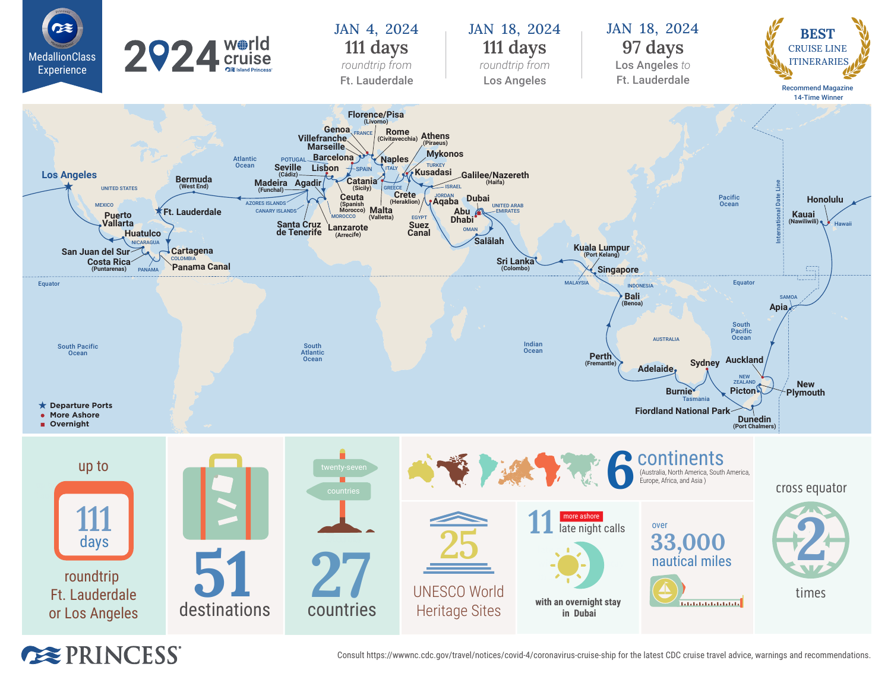

**EXPRINCESS** 

Consult https://wwwnc.cdc.gov/travel/notices/covid-4/coronavirus-cruise-ship for the latest CDC cruise travel advice, warnings and recommendations.